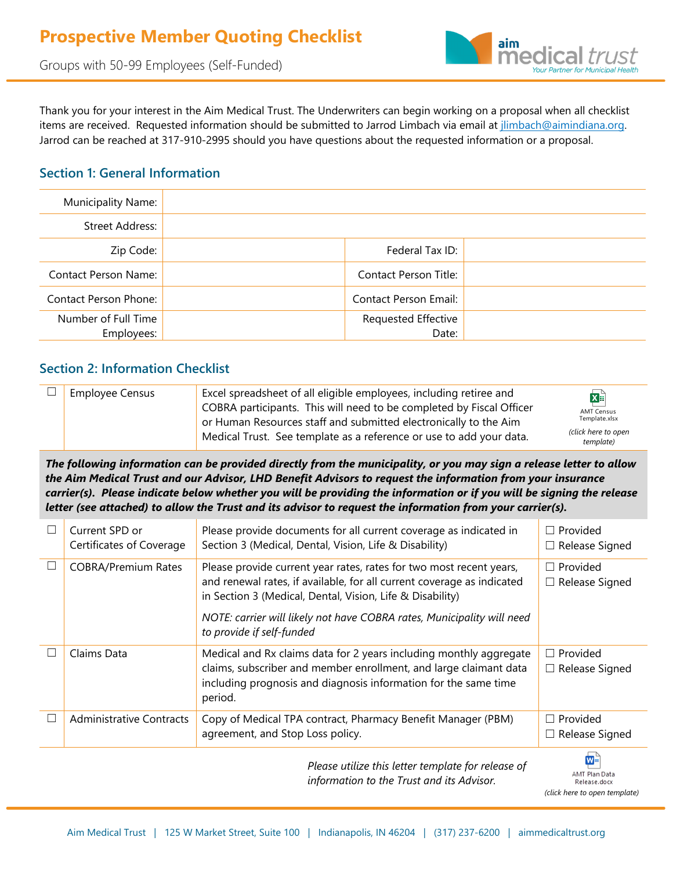

Groups with 50-99 Employees (Self-Funded)

Thank you for your interest in the Aim Medical Trust. The Underwriters can begin working on a proposal when all checklist items are received. Requested information should be submitted to Jarrod Limbach via email at *jlimbach@aimindiana.org*. Jarrod can be reached at 317-910-2995 should you have questions about the requested information or a proposal.

#### **Section 1: General Information**

| <b>Municipality Name:</b>   |                       |  |
|-----------------------------|-----------------------|--|
| Street Address:             |                       |  |
| Zip Code:                   | Federal Tax ID:       |  |
| <b>Contact Person Name:</b> | Contact Person Title: |  |
| Contact Person Phone:       | Contact Person Email: |  |
| Number of Full Time         | Requested Effective   |  |
| Employees:                  | Date:                 |  |

### **Section 2: Information Checklist**

| <b>Employee Census</b> | Excel spreadsheet of all eligible employees, including retiree and   | X⊧                               |
|------------------------|----------------------------------------------------------------------|----------------------------------|
|                        | COBRA participants. This will need to be completed by Fiscal Officer | <b>AMT Census</b>                |
|                        | or Human Resources staff and submitted electronically to the Aim     | Template.xlsx                    |
|                        | Medical Trust. See template as a reference or use to add your data.  | (click here to open<br>template) |

*The following information can be provided directly from the municipality, or you may sign a release letter to allow the Aim Medical Trust and our Advisor, LHD Benefit Advisors to request the information from your insurance carrier(s). Please indicate below whether you will be providing the information or if you will be signing the release letter (see attached) to allow the Trust and its advisor to request the information from your carrier(s).*

| Current SPD or<br>Certificates of Coverage | Please provide documents for all current coverage as indicated in<br>Section 3 (Medical, Dental, Vision, Life & Disability)                                                                                           | Provided<br>$\Box$<br>Release Signed<br>$\Box$        |
|--------------------------------------------|-----------------------------------------------------------------------------------------------------------------------------------------------------------------------------------------------------------------------|-------------------------------------------------------|
| <b>COBRA/Premium Rates</b>                 | Please provide current year rates, rates for two most recent years,<br>and renewal rates, if available, for all current coverage as indicated<br>in Section 3 (Medical, Dental, Vision, Life & Disability)            | Provided<br>$\mathcal{L}$<br>Release Signed<br>$\Box$ |
|                                            | NOTE: carrier will likely not have COBRA rates, Municipality will need<br>to provide if self-funded                                                                                                                   |                                                       |
| Claims Data                                | Medical and Rx claims data for 2 years including monthly aggregate<br>claims, subscriber and member enrollment, and large claimant data<br>including prognosis and diagnosis information for the same time<br>period. | Provided<br>. . I<br>Release Signed<br>$\Box$         |
| <b>Administrative Contracts</b>            | Copy of Medical TPA contract, Pharmacy Benefit Manager (PBM)<br>agreement, and Stop Loss policy.                                                                                                                      | Provided<br>$\mathcal{L}$<br>Release Signed<br>◘      |
|                                            | Please utilize this letter template for release of<br>information to the Trust and its Advisor.                                                                                                                       | AMT Plan Data<br>Release.docx                         |

*([click here to open template\)](https://lhdbenefitadvisors-my.sharepoint.com/:w:/g/personal/bfuelberth_lhdbenefits_com/ERYe0zBl9xNLhk4YMGBGDmoB_aXTbH3JI_JIwkSBSt_KtQ?rtime=9MHktPUL2kg)*